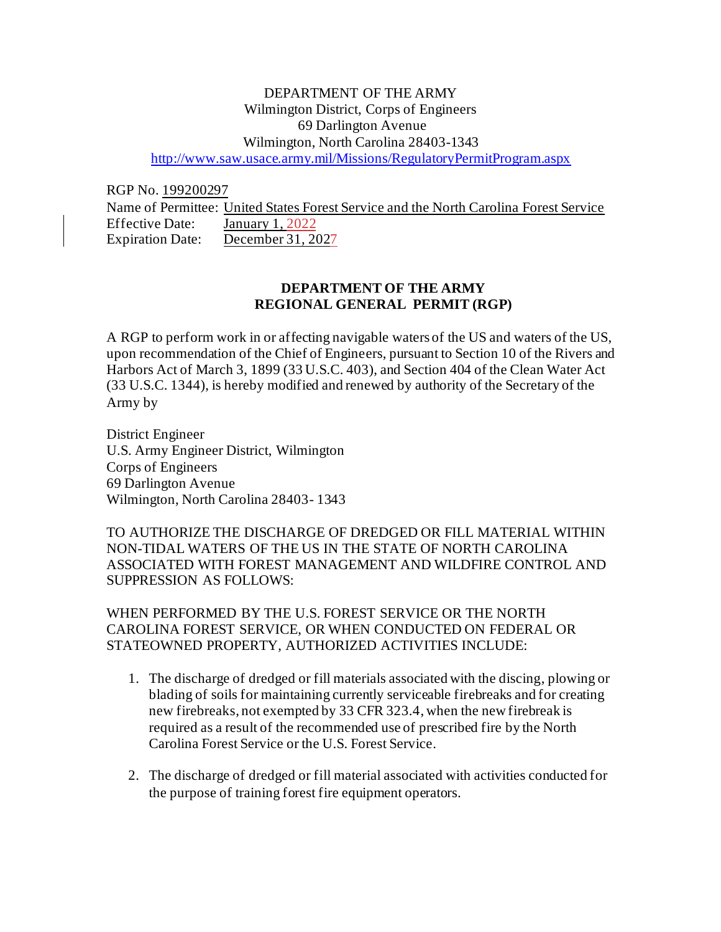# DEPARTMENT OF THE ARMY Wilmington District, Corps of Engineers 69 Darlington Avenue Wilmington, North Carolina 28403-1343 <http://www.saw.usace.army.mil/Missions/RegulatoryPermitProgram.aspx>

RGP No. 199200297

Name of Permittee: United States Forest Service and the North Carolina Forest Service Effective Date: January 1, 2022 Expiration Date: December 31, 2027

# **DEPARTMENT OF THE ARMY REGIONAL GENERAL PERMIT (RGP)**

A RGP to perform work in or affecting navigable waters of the US and waters of the US, upon recommendation of the Chief of Engineers, pursuant to Section 10 of the Rivers and Harbors Act of March 3, 1899 (33 U.S.C. 403), and Section 404 of the Clean Water Act (33 U.S.C. 1344), is hereby modified and renewed by authority of the Secretary of the Army by

District Engineer U.S. Army Engineer District, Wilmington Corps of Engineers 69 Darlington Avenue Wilmington, North Carolina 28403- 1343

TO AUTHORIZE THE DISCHARGE OF DREDGED OR FILL MATERIAL WITHIN NON-TIDAL WATERS OF THE US IN THE STATE OF NORTH CAROLINA ASSOCIATED WITH FOREST MANAGEMENT AND WILDFIRE CONTROL AND SUPPRESSION AS FOLLOWS:

WHEN PERFORMED BY THE U.S. FOREST SERVICE OR THE NORTH CAROLINA FOREST SERVICE, OR WHEN CONDUCTED ON FEDERAL OR STATEOWNED PROPERTY, AUTHORIZED ACTIVITIES INCLUDE:

- 1. The discharge of dredged or fill materials associated with the discing, plowing or blading of soils for maintaining currently serviceable firebreaks and for creating new firebreaks, not exempted by 33 CFR 323.4, when the new firebreak is required as a result of the recommended use of prescribed fire by the North Carolina Forest Service or the U.S. Forest Service.
- 2. The discharge of dredged or fill material associated with activities conducted for the purpose of training forest fire equipment operators.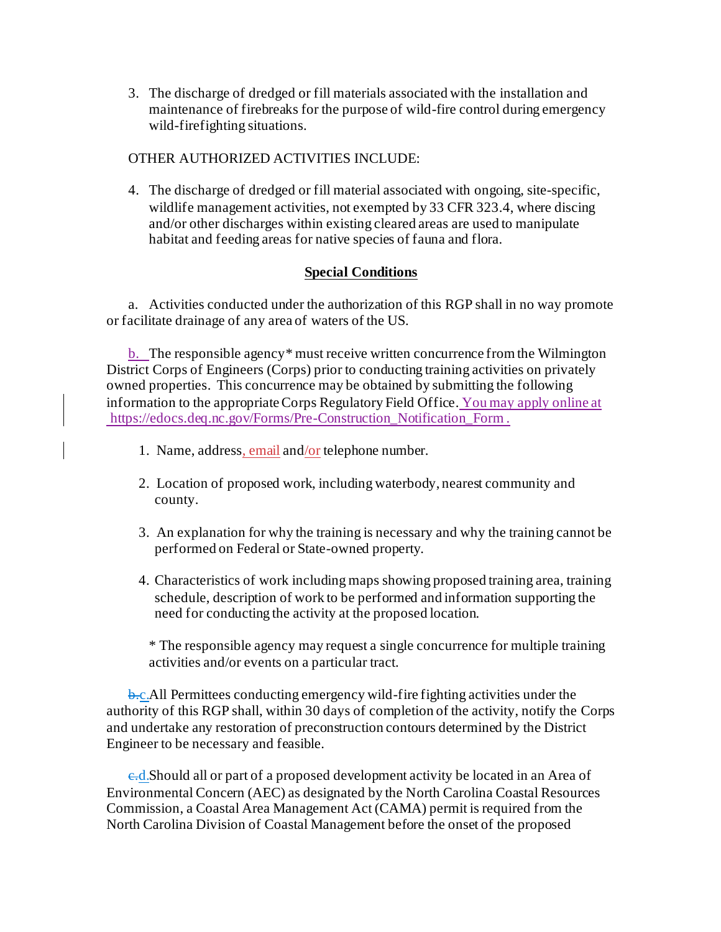3. The discharge of dredged or fill materials associated with the installation and maintenance of firebreaks for the purpose of wild-fire control during emergency wild-firefighting situations.

# OTHER AUTHORIZED ACTIVITIES INCLUDE:

4. The discharge of dredged or fill material associated with ongoing, site-specific, wildlife management activities, not exempted by 33 CFR 323.4, where discing and/or other discharges within existing cleared areas are used to manipulate habitat and feeding areas for native species of fauna and flora.

# **Special Conditions**

a. Activities conducted under the authorization of this RGP shall in no way promote or facilitate drainage of any area of waters of the US.

b. The responsible agency\* must receive written concurrence from the Wilmington District Corps of Engineers (Corps) prior to conducting training activities on privately owned properties. This concurrence may be obtained by submitting the following information to the appropriate Corps Regulatory Field Office. You may apply online at [https://edocs.deq.nc.gov/Forms/Pre-Construction\\_Notification\\_Form](https://edocs.deq.nc.gov/Forms/Pre-Construction_Notification_Form) .

- 1. Name, address, email and/or telephone number.
- 2. Location of proposed work, including waterbody, nearest community and county.
- 3. An explanation for why the training is necessary and why the training cannot be performed on Federal or State-owned property.
- 4. Characteristics of work including maps showing proposed training area, training schedule, description of work to be performed and information supporting the need for conducting the activity at the proposed location.

\* The responsible agency may request a single concurrence for multiple training activities and/or events on a particular tract.

b.c.All Permittees conducting emergency wild-fire fighting activities under the authority of this RGP shall, within 30 days of completion of the activity, notify the Corps and undertake any restoration of preconstruction contours determined by the District Engineer to be necessary and feasible.

e.d.Should all or part of a proposed development activity be located in an Area of Environmental Concern (AEC) as designated by the North Carolina Coastal Resources Commission, a Coastal Area Management Act (CAMA) permit is required from the North Carolina Division of Coastal Management before the onset of the proposed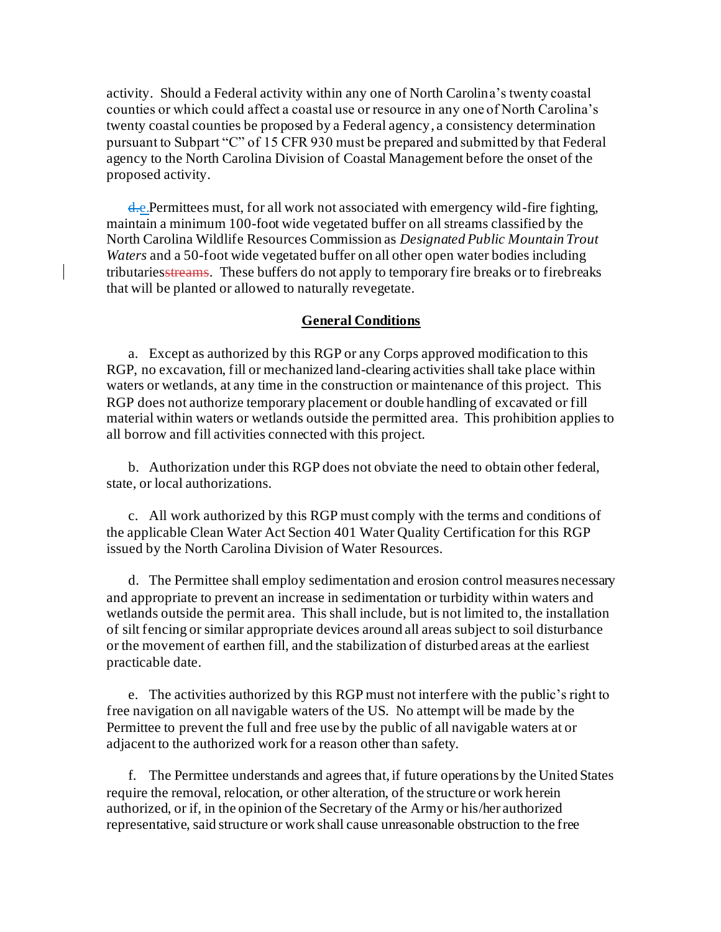activity. Should a Federal activity within any one of North Carolina's twenty coastal counties or which could affect a coastal use or resource in any one of North Carolina's twenty coastal counties be proposed by a Federal agency, a consistency determination pursuant to Subpart "C" of 15 CFR 930 must be prepared and submitted by that Federal agency to the North Carolina Division of Coastal Management before the onset of the proposed activity.

d.e.Permittees must, for all work not associated with emergency wild-fire fighting, maintain a minimum 100-foot wide vegetated buffer on all streams classified by the North Carolina Wildlife Resources Commission as *Designated Public Mountain Trout Waters* and a 50-foot wide vegetated buffer on all other open water bodies including tributariesstreams. These buffers do not apply to temporary fire breaks or to firebreaks that will be planted or allowed to naturally revegetate.

## **General Conditions**

a. Except as authorized by this RGP or any Corps approved modification to this RGP, no excavation, fill or mechanized land-clearing activities shall take place within waters or wetlands, at any time in the construction or maintenance of this project. This RGP does not authorize temporary placement or double handling of excavated or fill material within waters or wetlands outside the permitted area. This prohibition applies to all borrow and fill activities connected with this project.

b. Authorization under this RGP does not obviate the need to obtain other federal, state, or local authorizations.

c. All work authorized by this RGP must comply with the terms and conditions of the applicable Clean Water Act Section 401 Water Quality Certification for this RGP issued by the North Carolina Division of Water Resources.

d. The Permittee shall employ sedimentation and erosion control measures necessary and appropriate to prevent an increase in sedimentation or turbidity within waters and wetlands outside the permit area. This shall include, but is not limited to, the installation of silt fencing or similar appropriate devices around all areas subject to soil disturbance or the movement of earthen fill, and the stabilization of disturbed areas at the earliest practicable date.

e. The activities authorized by this RGP must not interfere with the public's right to free navigation on all navigable waters of the US. No attempt will be made by the Permittee to prevent the full and free use by the public of all navigable waters at or adjacent to the authorized work for a reason other than safety.

f. The Permittee understands and agrees that, if future operations by the United States require the removal, relocation, or other alteration, of the structure or work herein authorized, or if, in the opinion of the Secretary of the Army or his/her authorized representative, said structure or work shall cause unreasonable obstruction to the free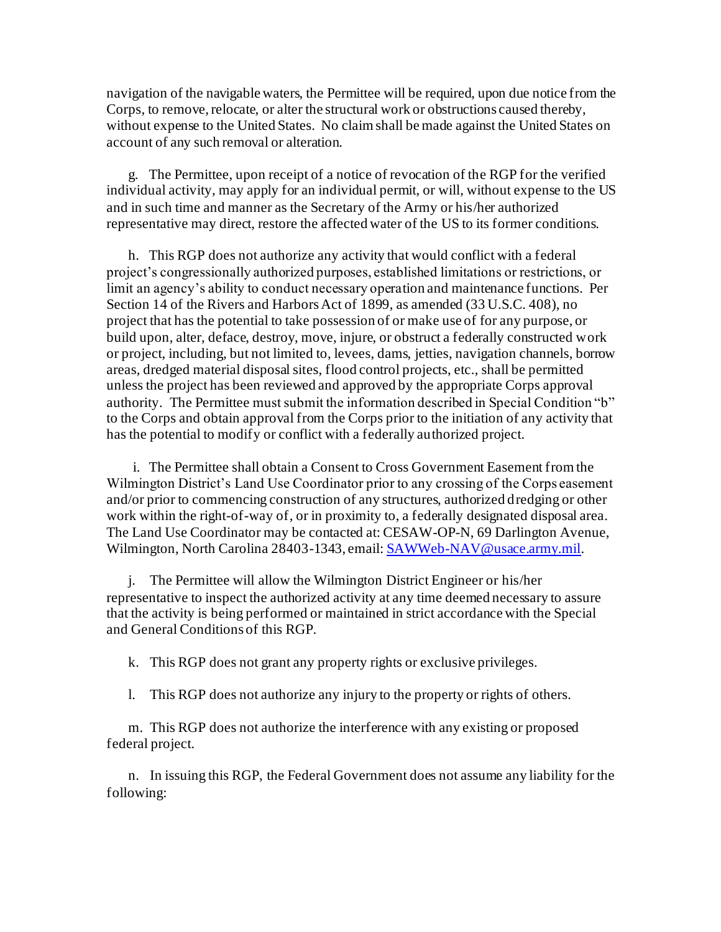navigation of the navigable waters, the Permittee will be required, upon due notice from the Corps, to remove, relocate, or alter the structural work or obstructions caused thereby, without expense to the United States. No claim shall be made against the United States on account of any such removal or alteration.

g. The Permittee, upon receipt of a notice of revocation of the RGP for the verified individual activity, may apply for an individual permit, or will, without expense to the US and in such time and manner as the Secretary of the Army or his/her authorized representative may direct, restore the affected water of the US to its former conditions.

h. This RGP does not authorize any activity that would conflict with a federal project's congressionally authorized purposes, established limitations or restrictions, or limit an agency's ability to conduct necessary operation and maintenance functions. Per Section 14 of the Rivers and Harbors Act of 1899, as amended (33 U.S.C. 408), no project that has the potential to take possession of or make use of for any purpose, or build upon, alter, deface, destroy, move, injure, or obstruct a federally constructed work or project, including, but not limited to, levees, dams, jetties, navigation channels, borrow areas, dredged material disposal sites, flood control projects, etc., shall be permitted unless the project has been reviewed and approved by the appropriate Corps approval authority. The Permittee must submit the information described in Special Condition "b" to the Corps and obtain approval from the Corps prior to the initiation of any activity that has the potential to modify or conflict with a federally authorized project.

i. The Permittee shall obtain a Consent to Cross Government Easement from the Wilmington District's Land Use Coordinator prior to any crossing of the Corps easement and/or prior to commencing construction of any structures, authorized dredging or other work within the right-of-way of, or in proximity to, a federally designated disposal area. The Land Use Coordinator may be contacted at: CESAW-OP-N, 69 Darlington Avenue, Wilmington, North Carolina 28403-1343, email[: SAWWeb-NAV@usace.army.mil](mailto:SAWWeb-NAV@usace.army.mil).

j. The Permittee will allow the Wilmington District Engineer or his/her representative to inspect the authorized activity at any time deemed necessary to assure that the activity is being performed or maintained in strict accordance with the Special and General Conditions of this RGP.

k. This RGP does not grant any property rights or exclusive privileges.

l. This RGP does not authorize any injury to the property or rights of others.

m. This RGP does not authorize the interference with any existing or proposed federal project.

n. In issuing this RGP, the Federal Government does not assume any liability for the following: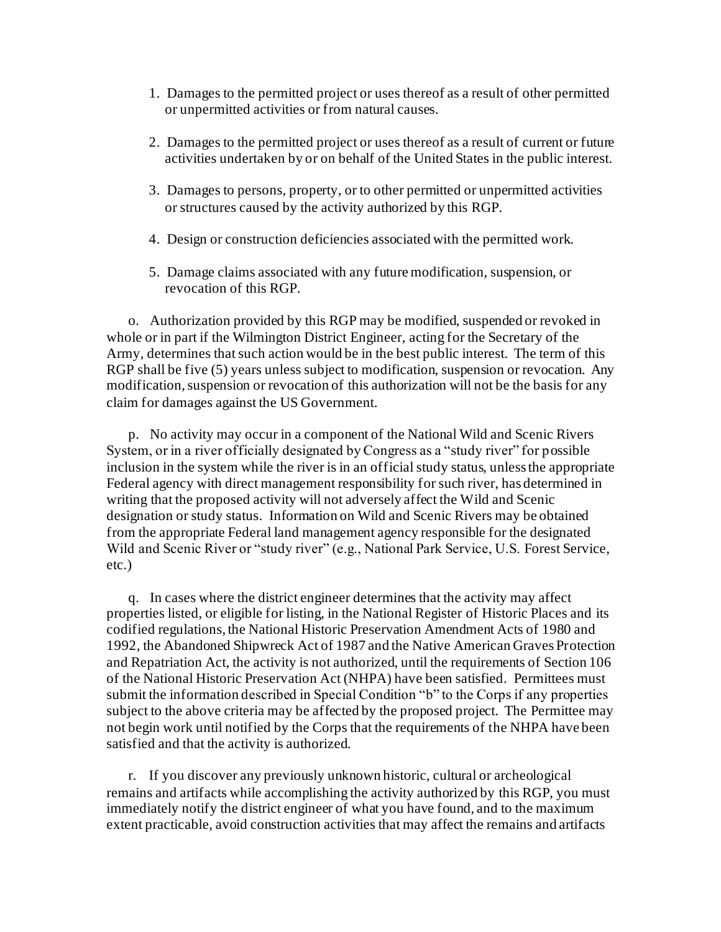- 1. Damages to the permitted project or uses thereof as a result of other permitted or unpermitted activities or from natural causes.
- 2. Damages to the permitted project or uses thereof as a result of current or future activities undertaken by or on behalf of the United States in the public interest.
- 3. Damages to persons, property, or to other permitted or unpermitted activities or structures caused by the activity authorized by this RGP.
- 4. Design or construction deficiencies associated with the permitted work.
- 5. Damage claims associated with any future modification, suspension, or revocation of this RGP.

o. Authorization provided by this RGP may be modified, suspended or revoked in whole or in part if the Wilmington District Engineer, acting for the Secretary of the Army, determines that such action would be in the best public interest. The term of this RGP shall be five (5) years unless subject to modification, suspension or revocation. Any modification, suspension or revocation of this authorization will not be the basis for any claim for damages against the US Government.

p. No activity may occur in a component of the National Wild and Scenic Rivers System, or in a river officially designated by Congress as a "study river" for possible inclusion in the system while the river is in an official study status, unless the appropriate Federal agency with direct management responsibility for such river, has determined in writing that the proposed activity will not adversely affect the Wild and Scenic designation or study status. Information on Wild and Scenic Rivers may be obtained from the appropriate Federal land management agency responsible for the designated Wild and Scenic River or "study river" (e.g., National Park Service, U.S. Forest Service, etc.)

q. In cases where the district engineer determines that the activity may affect properties listed, or eligible for listing, in the National Register of Historic Places and its codified regulations, the National Historic Preservation Amendment Acts of 1980 and 1992, the Abandoned Shipwreck Act of 1987 and the Native American Graves Protection and Repatriation Act, the activity is not authorized, until the requirements of Section 106 of the National Historic Preservation Act (NHPA) have been satisfied. Permittees must submit the information described in Special Condition "b" to the Corps if any properties subject to the above criteria may be affected by the proposed project. The Permittee may not begin work until notified by the Corps that the requirements of the NHPA have been satisfied and that the activity is authorized.

r. If you discover any previously unknown historic, cultural or archeological remains and artifacts while accomplishing the activity authorized by this RGP, you must immediately notify the district engineer of what you have found, and to the maximum extent practicable, avoid construction activities that may affect the remains and artifacts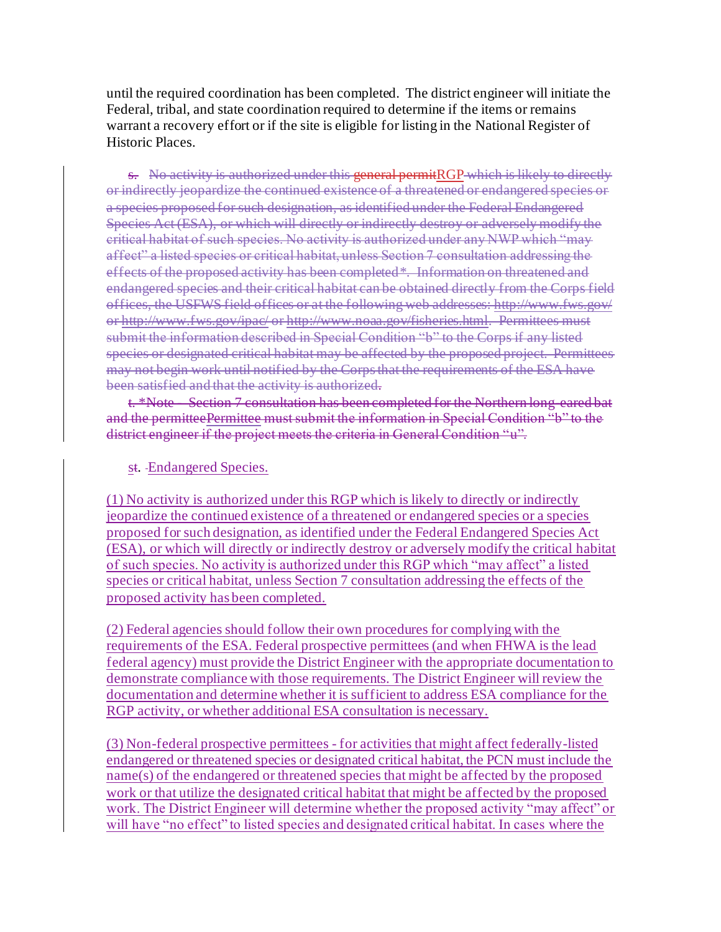until the required coordination has been completed. The district engineer will initiate the Federal, tribal, and state coordination required to determine if the items or remains warrant a recovery effort or if the site is eligible for listing in the National Register of Historic Places.

s. No activity is authorized under this general permitRGP which is likely to directly or indirectly jeopardize the continued existence of a threatened or endangered species or a species proposed for such designation, as identified under the Federal Endangered Species Act (ESA), or which will directly or indirectly destroy or adversely modify the critical habitat of such species. No activity is authorized under any NWP which "may affect" a listed species or critical habitat, unless Section 7 consultation addressing the effects of the proposed activity has been completed\*. Information on threatened and endangered species and their critical habitat can be obtained directly from the Corps field offices, the USFWS field offices or at the following web addresses: http://www.fws.gov/ or http://www.fws.gov/ipac/ or http://www.noaa.gov/fisheries.html. Permittees must submit the information described in Special Condition "b" to the Corps if any listed species or designated critical habitat may be affected by the proposed project. Permittees may not begin work until notified by the Corps that the requirements of the ESA have been satisfied and that the activity is authorized.

t. \*Note Section 7 consultation has been completed for the Northern long-eared bat and the permitteePermittee must submit the information in Special Condition "b" to the district engineer if the project meets the criteria in General Condition "u".

### st. Endangered Species.

(1) No activity is authorized under this RGP which is likely to directly or indirectly jeopardize the continued existence of a threatened or endangered species or a species proposed for such designation, as identified under the Federal Endangered Species Act (ESA), or which will directly or indirectly destroy or adversely modify the critical habitat of such species. No activity is authorized under this RGP which "may affect" a listed species or critical habitat, unless Section 7 consultation addressing the effects of the proposed activity has been completed.

(2) Federal agencies should follow their own procedures for complying with the requirements of the ESA. Federal prospective permittees (and when FHWA is the lead federal agency) must provide the District Engineer with the appropriate documentation to demonstrate compliance with those requirements. The District Engineer will review the documentation and determine whether it is sufficient to address ESA compliance for the RGP activity, or whether additional ESA consultation is necessary.

(3) Non-federal prospective permittees - for activities that might affect federally-listed endangered or threatened species or designated critical habitat, the PCN must include the name(s) of the endangered or threatened species that might be affected by the proposed work or that utilize the designated critical habitat that might be affected by the proposed work. The District Engineer will determine whether the proposed activity "may affect" or will have "no effect" to listed species and designated critical habitat. In cases where the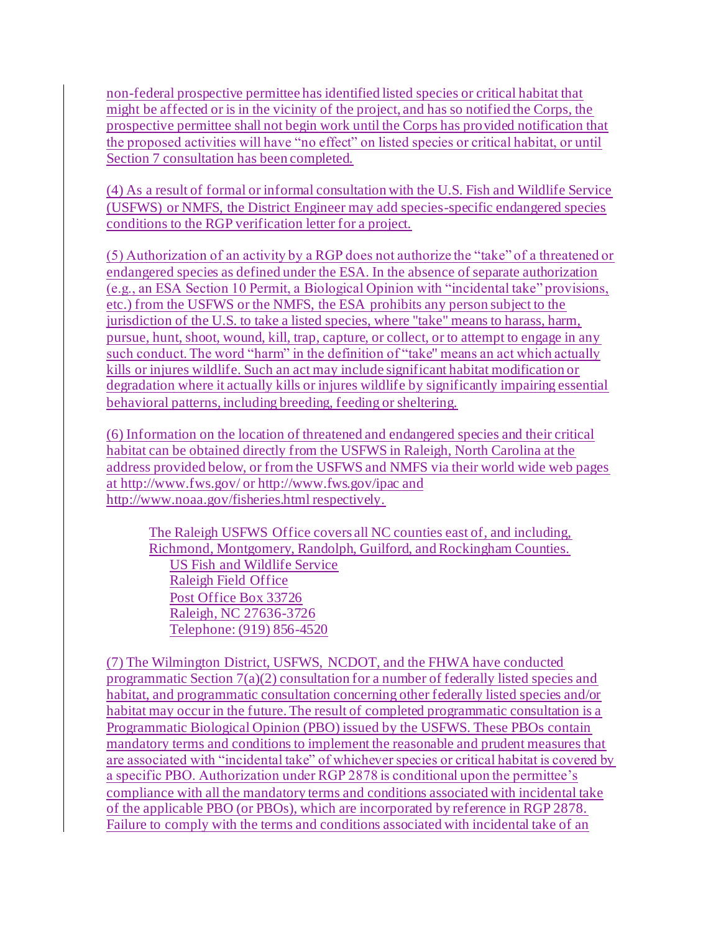non-federal prospective permittee has identified listed species or critical habitat that might be affected or is in the vicinity of the project, and has so notified the Corps, the prospective permittee shall not begin work until the Corps has provided notification that the proposed activities will have "no effect" on listed species or critical habitat, or until Section 7 consultation has been completed.

(4) As a result of formal or informal consultation with the U.S. Fish and Wildlife Service (USFWS) or NMFS, the District Engineer may add species-specific endangered species conditions to the RGP verification letter for a project.

(5) Authorization of an activity by a RGP does not authorize the "take" of a threatened or endangered species as defined under the ESA. In the absence of separate authorization (e.g., an ESA Section 10 Permit, a Biological Opinion with "incidental take" provisions, etc.) from the USFWS or the NMFS, the ESA prohibits any person subject to the jurisdiction of the U.S. to take a listed species, where "take" means to harass, harm, pursue, hunt, shoot, wound, kill, trap, capture, or collect, or to attempt to engage in any such conduct. The word "harm" in the definition of "take'' means an act which actually kills or injures wildlife. Such an act may include significant habitat modification or degradation where it actually kills or injures wildlife by significantly impairing essential behavioral patterns, including breeding, feeding or sheltering.

(6) Information on the location of threatened and endangered species and their critical habitat can be obtained directly from the USFWS in Raleigh, North Carolina at the address provided below, or from the USFWS and NMFS via their world wide web pages at http://www.fws.gov/ or http://www.fws.gov/ipac and http://www.noaa.gov/fisheries.html respectively.

The Raleigh USFWS Office covers all NC counties east of, and including, Richmond, Montgomery, Randolph, Guilford, and Rockingham Counties. US Fish and Wildlife Service Raleigh Field Office Post Office Box 33726 Raleigh, NC 27636-3726 Telephone: (919) 856-4520

(7) The Wilmington District, USFWS, NCDOT, and the FHWA have conducted programmatic Section 7(a)(2) consultation for a number of federally listed species and habitat, and programmatic consultation concerning other federally listed species and/or habitat may occur in the future. The result of completed programmatic consultation is a Programmatic Biological Opinion (PBO) issued by the USFWS. These PBOs contain mandatory terms and conditions to implement the reasonable and prudent measures that are associated with "incidental take" of whichever species or critical habitat is covered by a specific PBO. Authorization under RGP 2878 is conditional upon the permittee's compliance with all the mandatory terms and conditions associated with incidental take of the applicable PBO (or PBOs), which are incorporated by reference in RGP 2878. Failure to comply with the terms and conditions associated with incidental take of an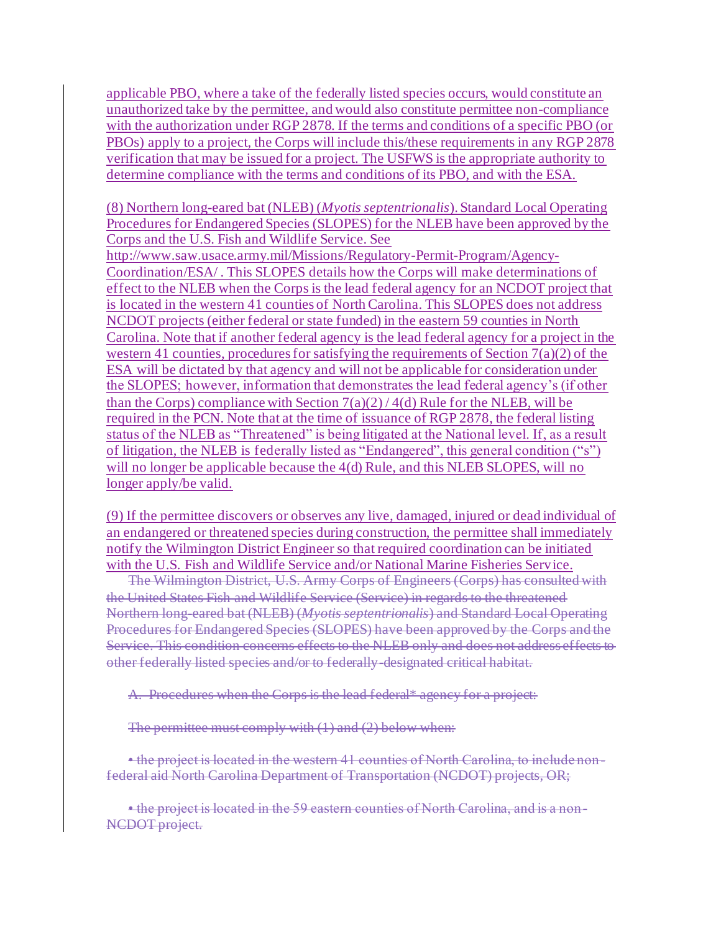applicable PBO, where a take of the federally listed species occurs, would constitute an unauthorized take by the permittee, and would also constitute permittee non-compliance with the authorization under RGP 2878. If the terms and conditions of a specific PBO (or PBOs) apply to a project, the Corps will include this/these requirements in any RGP 2878 verification that may be issued for a project. The USFWS is the appropriate authority to determine compliance with the terms and conditions of its PBO, and with the ESA.

(8) Northern long-eared bat (NLEB) (*Myotis septentrionalis*). Standard Local Operating Procedures for Endangered Species (SLOPES) for the NLEB have been approved by the Corps and the U.S. Fish and Wildlife Service. See

http://www.saw.usace.army.mil/Missions/Regulatory-Permit-Program/Agency-Coordination/ESA/ . This SLOPES details how the Corps will make determinations of effect to the NLEB when the Corps is the lead federal agency for an NCDOT project that is located in the western 41 counties of North Carolina. This SLOPES does not address NCDOT projects (either federal or state funded) in the eastern 59 counties in North Carolina. Note that if another federal agency is the lead federal agency for a project in the western 41 counties, procedures for satisfying the requirements of Section  $7(a)(2)$  of the ESA will be dictated by that agency and will not be applicable for consideration under the SLOPES; however, information that demonstrates the lead federal agency's (if other than the Corps) compliance with Section  $7(a)(2)/4(d)$  Rule for the NLEB, will be required in the PCN. Note that at the time of issuance of RGP 2878, the federal listing status of the NLEB as "Threatened" is being litigated at the National level. If, as a result of litigation, the NLEB is federally listed as "Endangered", this general condition ("s") will no longer be applicable because the 4(d) Rule, and this NLEB SLOPES, will no longer apply/be valid.

(9) If the permittee discovers or observes any live, damaged, injured or dead individual of an endangered or threatened species during construction, the permittee shall immediately notify the Wilmington District Engineer so that required coordination can be initiated with the U.S. Fish and Wildlife Service and/or National Marine Fisheries Service.

The Wilmington District, U.S. Army Corps of Engineers (Corps) has consulted with the United States Fish and Wildlife Service (Service) in regards to the threatened Northern long-eared bat (NLEB) (*Myotis septentrionalis*) and Standard Local Operating Procedures for Endangered Species (SLOPES) have been approved by the Corps and the Service. This condition concerns effects to the NLEB only and does not address effects to other federally listed species and/or to federally-designated critical habitat.

A. Procedures when the Corps is the lead federal\* agency for a project:

The permittee must comply with (1) and (2) below when:

• the project is located in the western 41 counties of North Carolina, to include nonfederal aid North Carolina Department of Transportation (NCDOT) projects, OR;

• the project is located in the 59 eastern counties of North Carolina, and is a non-NCDOT project.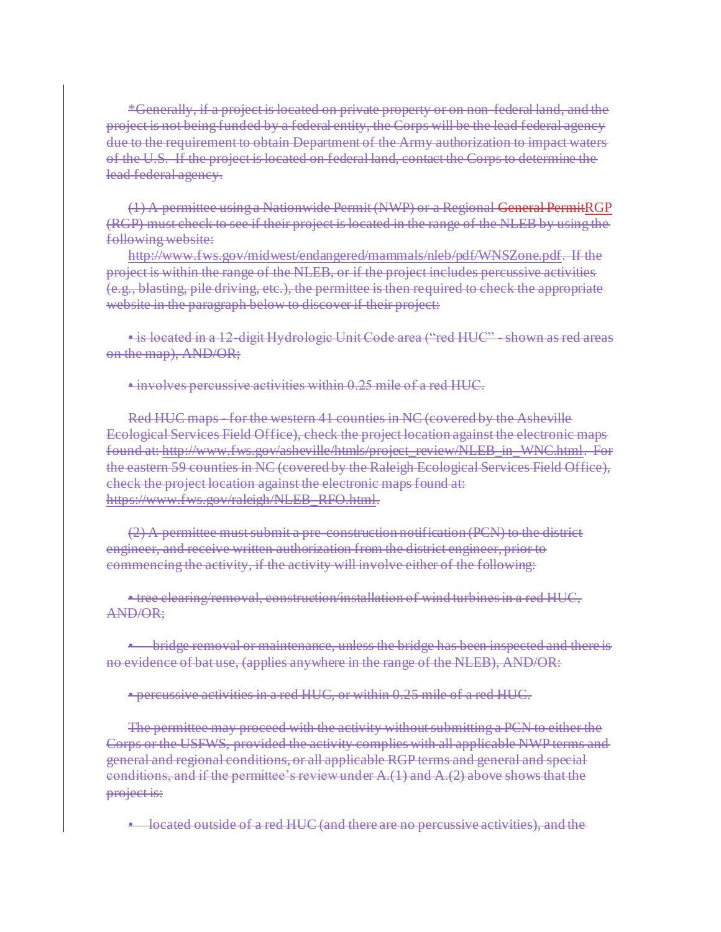\*Generally, if a project is located on private property or on non-federal land, and the project is not being funded by a federal entity, the Corps will be the lead federal agency due to the requirement to obtain Department of the Army authorization to impact waters of the U.S. If the project is located on federal land, contact the Corps to determine the lead federal agency.

(1) A permittee using a Nationwide Permit (NWP) or a Regional General PermitRGP (RGP) must check to see if their project is located in the range of the NLEB by using the following website:

http://www.fws.gov/midwest/endangered/mammals/nleb/pdf/WNSZone.pdf. If the project is within the range of the NLEB, or if the project includes percussive activities (e.g., blasting, pile driving, etc.), the permittee is then required to check the appropriate website in the paragraph below to discover if their project:

• is located in a 12-digit Hydrologic Unit Code area ("red HUC" - shown as red areas on the map), AND/OR;

• involves percussive activities within 0.25 mile of a red HUC.

Red HUC maps - for the western 41 counties in NC (covered by the Asheville Ecological Services Field Office), check the project location against the electronic maps found at: http://www.fws.gov/asheville/htmls/project\_review/NLEB\_in\_WNC.html. For the eastern 59 counties in NC (covered by the Raleigh Ecological Services Field Office), check the project location against the electronic maps found at: https://www.fws.gov/raleigh/NLEB\_RFO.html.

(2) A permittee must submit a pre-construction notification (PCN) to the district engineer, and receive written authorization from the district engineer, prior to commencing the activity, if the activity will involve either of the following:

• tree clearing/removal, construction/installation of wind turbines in a red HUC, AND/OR;

• bridge removal or maintenance, unless the bridge has been inspected and there is no evidence of bat use, (applies anywhere in the range of the NLEB), AND/OR:

• percussive activities in a red HUC, or within 0.25 mile of a red HUC.

The permittee may proceed with the activity without submitting a PCN to either the Corps or the USFWS, provided the activity complies with all applicable NWP terms and general and regional conditions, or all applicable RGP terms and general and special conditions, and if the permittee's review under  $A(1)$  and  $A(2)$  above shows that the project is:

• located outside of a red HUC (and there are no percussive activities), and the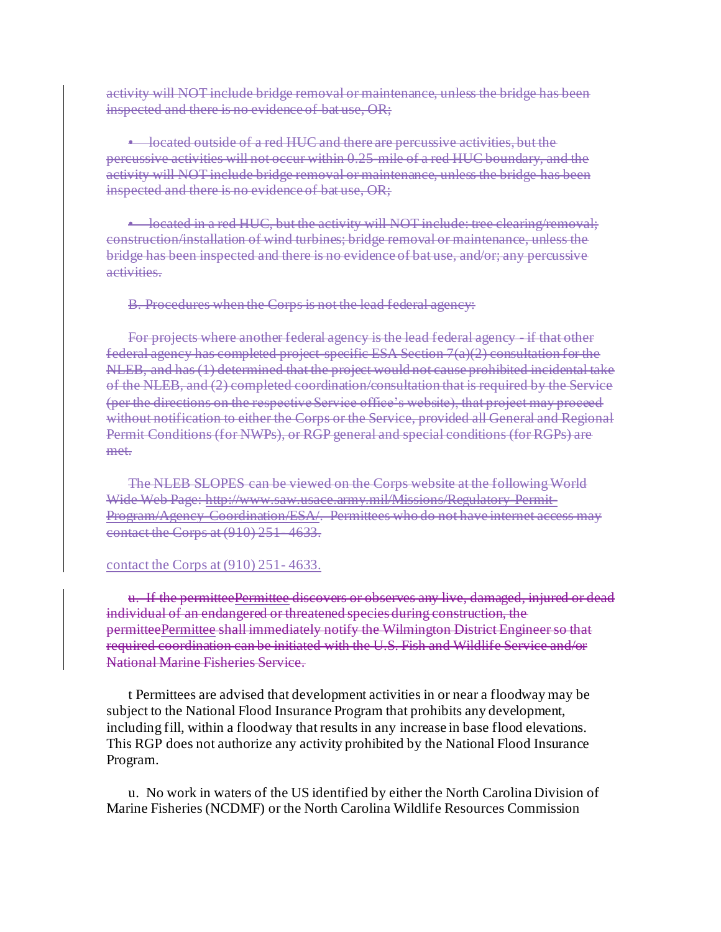activity will NOT include bridge removal or maintenance, unless the bridge has been inspected and there is no evidence of bat use, OR;

• located outside of a red HUC and there are percussive activities, but the percussive activities will not occur within 0.25-mile of a red HUC boundary, and the activity will NOT include bridge removal or maintenance, unless the bridge has been inspected and there is no evidence of bat use, OR;

• located in a red HUC, but the activity will NOT include: tree clearing/removal: construction/installation of wind turbines; bridge removal or maintenance, unless the bridge has been inspected and there is no evidence of bat use, and/or; any percussive activities.

B. Procedures when the Corps is not the lead federal agency:

For projects where another federal agency is the lead federal agency - if that other federal agency has completed project-specific ESA Section  $7(a)(2)$  consultation for the NLEB, and has (1) determined that the project would not cause prohibited incidental take of the NLEB, and (2) completed coordination/consultation that is required by the Service (per the directions on the respective Service office's website), that project may proceed without notification to either the Corps or the Service, provided all General and Regional Permit Conditions (for NWPs), or RGP general and special conditions (for RGPs) are met.

The NLEB SLOPES can be viewed on the Corps website at the following World Wide Web Page: http://www.saw.usace.army.mil/Missions/Regulatory-Permit-Program/Agency-Coordination/ESA/. Permittees who do not have internet access may contact the Corps at (910) 251 4633.

#### contact the Corps at (910) 251- 4633.

u. If the permitteePermittee discovers or observes any live, damaged, injured or dead individual of an endangered or threatened species during construction, the permitteePermittee shall immediately notify the Wilmington District Engineer so that required coordination can be initiated with the U.S. Fish and Wildlife Service and/or National Marine Fisheries Service.

t Permittees are advised that development activities in or near a floodway may be subject to the National Flood Insurance Program that prohibits any development, including fill, within a floodway that results in any increase in base flood elevations. This RGP does not authorize any activity prohibited by the National Flood Insurance Program.

u. No work in waters of the US identified by either the North Carolina Division of Marine Fisheries (NCDMF) or the North Carolina Wildlife Resources Commission